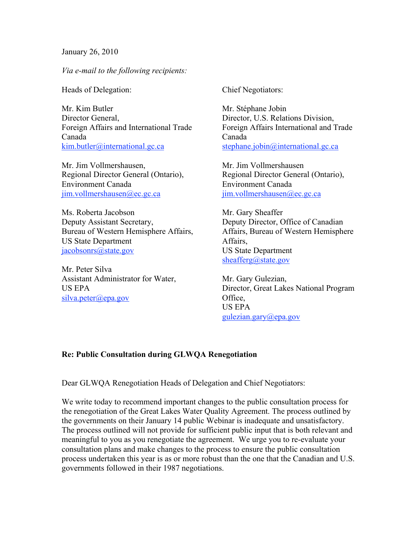January 26, 2010

*Via e-mail to the following recipients:*

Heads of Delegation:

Mr. Kim Butler Director General, Foreign Affairs and International Trade Canada kim.butler@international.gc.ca

Mr. Jim Vollmershausen, Regional Director General (Ontario), Environment Canada  $\lim$ .vollmershausen@ec.gc.ca

Ms. Roberta Jacobson Deputy Assistant Secretary, Bureau of Western Hemisphere Affairs, US State Department jacobsonrs@state.gov

Mr. Peter Silva Assistant Administrator for Water, US EPA  $silva. peter@epa.gov$ 

Chief Negotiators:

Mr. Stéphane Jobin Director, U.S. Relations Division, Foreign Affairs International and Trade Canada stephane.jobin@international.gc.ca

Mr. Jim Vollmershausen Regional Director General (Ontario), Environment Canada jim.vollmershausen@ec.gc.ca

Mr. Gary Sheaffer Deputy Director, Office of Canadian Affairs, Bureau of Western Hemisphere Affairs, US State Department sheafferg@state.gov

Mr. Gary Gulezian, Director, Great Lakes National Program Office, US EPA gulezian.gary@epa.gov

## **Re: Public Consultation during GLWQA Renegotiation**

Dear GLWQA Renegotiation Heads of Delegation and Chief Negotiators:

We write today to recommend important changes to the public consultation process for the renegotiation of the Great Lakes Water Quality Agreement. The process outlined by the governments on their January 14 public Webinar is inadequate and unsatisfactory. The process outlined will not provide for sufficient public input that is both relevant and meaningful to you as you renegotiate the agreement. We urge you to re-evaluate your consultation plans and make changes to the process to ensure the public consultation process undertaken this year is as or more robust than the one that the Canadian and U.S. governments followed in their 1987 negotiations.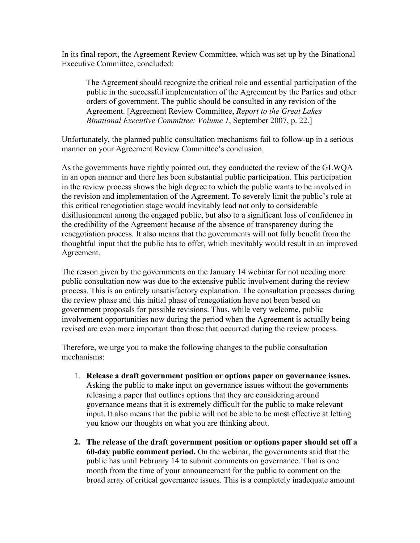In its final report, the Agreement Review Committee, which was set up by the Binational Executive Committee, concluded:

The Agreement should recognize the critical role and essential participation of the public in the successful implementation of the Agreement by the Parties and other orders of government. The public should be consulted in any revision of the Agreement. [Agreement Review Committee, *Report to the Great Lakes Binational Executive Committee: Volume 1*, September 2007, p. 22.]

Unfortunately, the planned public consultation mechanisms fail to follow-up in a serious manner on your Agreement Review Committee's conclusion.

As the governments have rightly pointed out, they conducted the review of the GLWQA in an open manner and there has been substantial public participation. This participation in the review process shows the high degree to which the public wants to be involved in the revision and implementation of the Agreement. To severely limit the public's role at this critical renegotiation stage would inevitably lead not only to considerable disillusionment among the engaged public, but also to a significant loss of confidence in the credibility of the Agreement because of the absence of transparency during the renegotiation process. It also means that the governments will not fully benefit from the thoughtful input that the public has to offer, which inevitably would result in an improved Agreement.

The reason given by the governments on the January 14 webinar for not needing more public consultation now was due to the extensive public involvement during the review process. This is an entirely unsatisfactory explanation. The consultation processes during the review phase and this initial phase of renegotiation have not been based on government proposals for possible revisions. Thus, while very welcome, public involvement opportunities now during the period when the Agreement is actually being revised are even more important than those that occurred during the review process.

Therefore, we urge you to make the following changes to the public consultation mechanisms:

- 1. **Release a draft government position or options paper on governance issues.**  Asking the public to make input on governance issues without the governments releasing a paper that outlines options that they are considering around governance means that it is extremely difficult for the public to make relevant input. It also means that the public will not be able to be most effective at letting you know our thoughts on what you are thinking about.
- **2. The release of the draft government position or options paper should set off a 60-day public comment period.** On the webinar, the governments said that the public has until February 14 to submit comments on governance. That is one month from the time of your announcement for the public to comment on the broad array of critical governance issues. This is a completely inadequate amount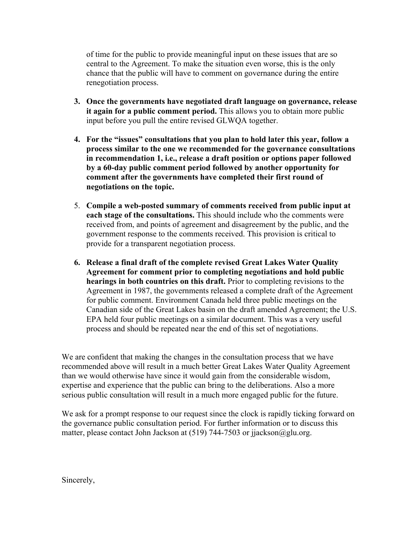of time for the public to provide meaningful input on these issues that are so central to the Agreement. To make the situation even worse, this is the only chance that the public will have to comment on governance during the entire renegotiation process.

- **3. Once the governments have negotiated draft language on governance, release it again for a public comment period.** This allows you to obtain more public input before you pull the entire revised GLWQA together.
- **4. For the "issues" consultations that you plan to hold later this year, follow a process similar to the one we recommended for the governance consultations in recommendation 1, i.e., release a draft position or options paper followed by a 60-day public comment period followed by another opportunity for comment after the governments have completed their first round of negotiations on the topic.**
- 5. **Compile a web-posted summary of comments received from public input at each stage of the consultations.** This should include who the comments were received from, and points of agreement and disagreement by the public, and the government response to the comments received. This provision is critical to provide for a transparent negotiation process.
- **6. Release a final draft of the complete revised Great Lakes Water Quality Agreement for comment prior to completing negotiations and hold public hearings in both countries on this draft.** Prior to completing revisions to the Agreement in 1987, the governments released a complete draft of the Agreement for public comment. Environment Canada held three public meetings on the Canadian side of the Great Lakes basin on the draft amended Agreement; the U.S. EPA held four public meetings on a similar document. This was a very useful process and should be repeated near the end of this set of negotiations.

We are confident that making the changes in the consultation process that we have recommended above will result in a much better Great Lakes Water Quality Agreement than we would otherwise have since it would gain from the considerable wisdom, expertise and experience that the public can bring to the deliberations. Also a more serious public consultation will result in a much more engaged public for the future.

We ask for a prompt response to our request since the clock is rapidly ticking forward on the governance public consultation period. For further information or to discuss this matter, please contact John Jackson at (519) 744-7503 or jjackson@glu.org.

Sincerely,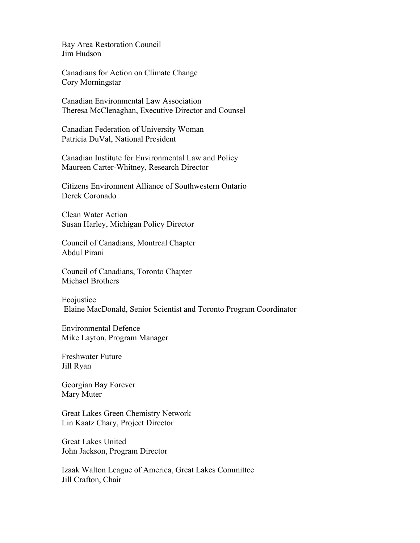Bay Area Restoration Council Jim Hudson

Canadians for Action on Climate Change Cory Morningstar

Canadian Environmental Law Association Theresa McClenaghan, Executive Director and Counsel

Canadian Federation of University Woman Patricia DuVal, National President

Canadian Institute for Environmental Law and Policy Maureen Carter-Whitney, Research Director

Citizens Environment Alliance of Southwestern Ontario Derek Coronado

Clean Water Action Susan Harley, Michigan Policy Director

Council of Canadians, Montreal Chapter Abdul Pirani

Council of Canadians, Toronto Chapter Michael Brothers

Ecojustice Elaine MacDonald, Senior Scientist and Toronto Program Coordinator

Environmental Defence Mike Layton, Program Manager

Freshwater Future Jill Ryan

Georgian Bay Forever Mary Muter

Great Lakes Green Chemistry Network Lin Kaatz Chary, Project Director

Great Lakes United John Jackson, Program Director

Izaak Walton League of America, Great Lakes Committee Jill Crafton, Chair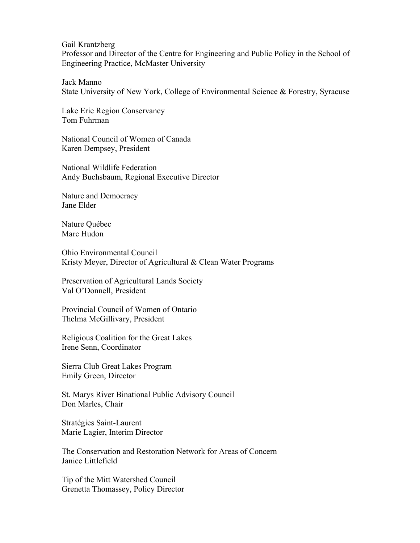Gail Krantzberg

Professor and Director of the Centre for Engineering and Public Policy in the School of Engineering Practice, McMaster University

Jack Manno State University of New York, College of Environmental Science & Forestry, Syracuse

Lake Erie Region Conservancy Tom Fuhrman

National Council of Women of Canada Karen Dempsey, President

National Wildlife Federation Andy Buchsbaum, Regional Executive Director

Nature and Democracy Jane Elder

Nature Québec Marc Hudon

Ohio Environmental Council Kristy Meyer, Director of Agricultural & Clean Water Programs

Preservation of Agricultural Lands Society Val O'Donnell, President

Provincial Council of Women of Ontario Thelma McGillivary, President

Religious Coalition for the Great Lakes Irene Senn, Coordinator

Sierra Club Great Lakes Program Emily Green, Director

St. Marys River Binational Public Advisory Council Don Marles, Chair

Stratégies Saint-Laurent Marie Lagier, Interim Director

The Conservation and Restoration Network for Areas of Concern Janice Littlefield

Tip of the Mitt Watershed Council Grenetta Thomassey, Policy Director